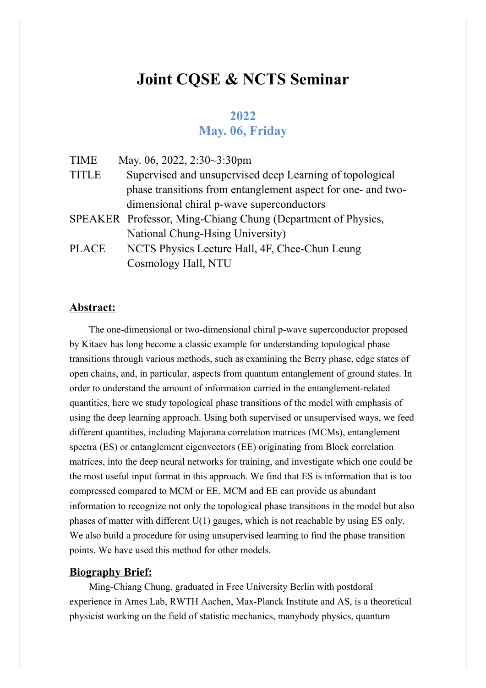## **Joint CQSE & NCTS Seminar**

## **2022 May. 06, Friday**

| <b>TIME</b>  | May. 06, 2022, 2:30~3:30pm                                   |
|--------------|--------------------------------------------------------------|
| <b>TITLE</b> | Supervised and unsupervised deep Learning of topological     |
|              | phase transitions from entanglement aspect for one- and two- |
|              | dimensional chiral p-wave superconductors                    |
|              | SPEAKER Professor, Ming-Chiang Chung (Department of Physics, |
|              | National Chung-Hsing University)                             |
| <b>PLACE</b> | NCTS Physics Lecture Hall, 4F, Chee-Chun Leung               |
|              | Cosmology Hall, NTU                                          |
|              |                                                              |

## **Abstract:**

The one-dimensional or two-dimensional chiral p-wave superconductor proposed by Kitaev has long become a classic example for understanding topological phase transitions through various methods, such as examining the Berry phase, edge states of open chains, and, in particular, aspects from quantum entanglement of ground states. In order to understand the amount of information carried in the entanglement-related quantities, here we study topological phase transitions of the model with emphasis of using the deep learning approach. Using both supervised or unsupervised ways, we feed different quantities, including Majorana correlation matrices (MCMs), entanglement spectra (ES) or entanglement eigenvectors (EE) originating from Block correlation matrices, into the deep neural networks for training, and investigate which one could be the most useful input format in this approach. We find that ES is information that is too compressed compared to MCM or EE. MCM and EE can provide us abundant information to recognize not only the topological phase transitions in the model but also phases of matter with different U(1) gauges, which is not reachable by using ES only. We also build a procedure for using unsupervised learning to find the phase transition points. We have used this method for other models.

## **Biography Brief:**

Ming-Chiang Chung, graduated in Free University Berlin with postdoral experience in Ames Lab, RWTH Aachen, Max-Planck Institute and AS, is a theoretical physicist working on the field of statistic mechanics, manybody physics, quantum